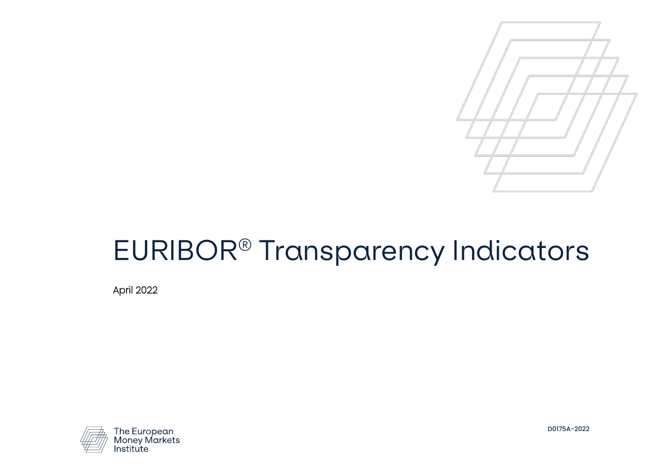

# EURIBOR® Transparency Indicators

April 2022



D0175A-2022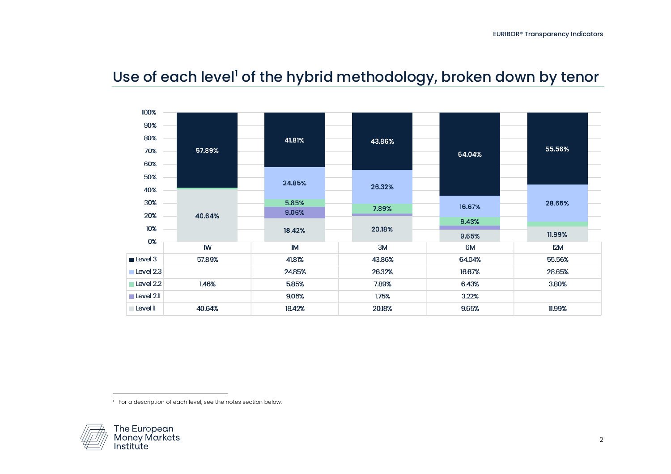

## <span id="page-1-0"></span>Use of each level<sup>[1](#page-1-0)</sup> of the hybrid methodology, broken down by tenor

 $^\mathrm{\scriptscriptstyle{+}}$  For a description of each level, see the notes section below.

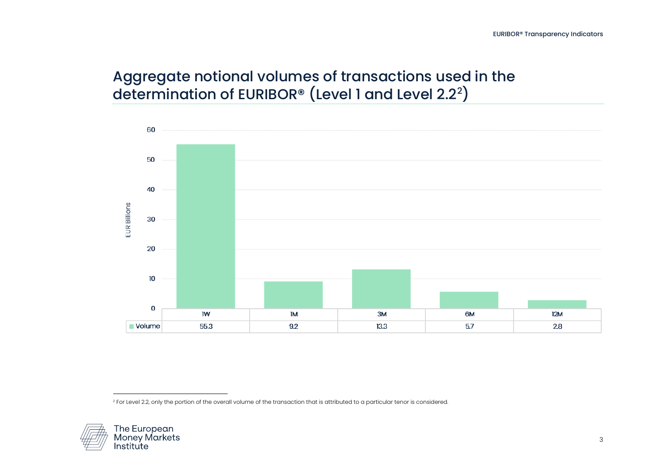## <span id="page-2-0"></span>Aggregate notional volumes of transactions used in the determination of EURIBOR® (Level 1 and Level  $2.2<sup>2</sup>$  $2.2<sup>2</sup>$ )



<sup>2</sup> For Level 2.2, only the portion of the overall volume of the transaction that is attributed to a particular tenor is considered.

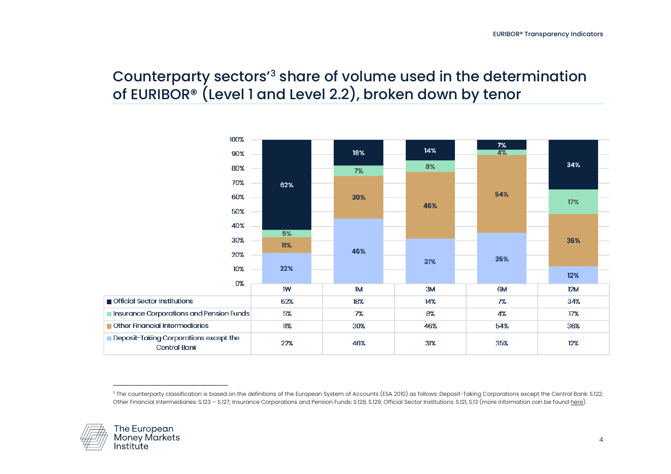#### <span id="page-3-0"></span>Counterparty sectors'[3](#page-3-0) share of volume used in the determination of EURIBOR® (Level 1 and Level 2.2), broken down by tenor



<sup>&</sup>lt;sup>3</sup> The counterparty classification is based on the definitions of the European System of Accounts (ESA 2010) as follows: Deposit-Taking Corporations except the Central Bank: S.122; Other Financial Intermediaries: S.123 – S.127; Insurance Corporations and Pension Funds: S.128, S.129; Official Sector Institutions: S.121, S.13 (more information can be foun[d here\)](https://ec.europa.eu/eurostat/documents/3859598/5925693/KS-02-13-269-EN.PDF/44cd9d01-bc64-40e5-bd40-d17df0c69334).